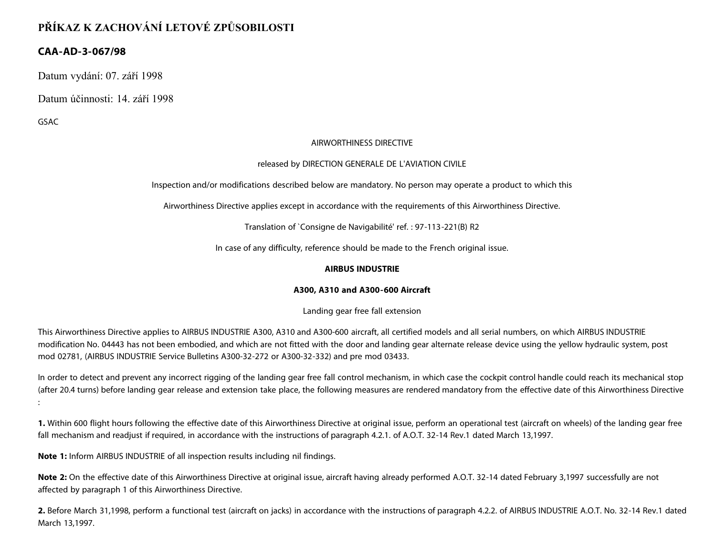# **PŘÍKAZ K ZACHOVÁNÍ LETOVÉ ZPŮSOBILOSTI**

## **CAA-AD-3-067/98**

Datum vydání: 07. září 1998

Datum účinnosti: 14. září 1998

GSAC

#### AIRWORTHINESS DIRECTIVE

#### released by DIRECTION GENERALE DE L'AVIATION CIVILE

Inspection and/or modifications described below are mandatory. No person may operate a product to which this

Airworthiness Directive applies except in accordance with the requirements of this Airworthiness Directive.

Translation of `Consigne de Navigabilité' ref. : 97-113-221(B) R2

In case of any difficulty, reference should be made to the French original issue.

#### **AIRBUS INDUSTRIE**

### **A300, A310 and A300-600 Aircraft**

Landing gear free fall extension

This Airworthiness Directive applies to AIRBUS INDUSTRIE A300, A310 and A300-600 aircraft, all certified models and all serial numbers, on which AIRBUS INDUSTRIE modification No. 04443 has not been embodied, and which are not fitted with the door and landing gear alternate release device using the yellow hydraulic system, post mod 02781, (AIRBUS INDUSTRIE Service Bulletins A300-32-272 or A300-32-332) and pre mod 03433.

In order to detect and prevent any incorrect rigging of the landing gear free fall control mechanism, in which case the cockpit control handle could reach its mechanical stop (after 20.4 turns) before landing gear release and extension take place, the following measures are rendered mandatory from the effective date of this Airworthiness Directive :

**1.** Within 600 flight hours following the effective date of this Airworthiness Directive at original issue, perform an operational test (aircraft on wheels) of the landing gear free fall mechanism and readjust if required, in accordance with the instructions of paragraph 4.2.1. of A.O.T. 32-14 Rev.1 dated March 13,1997.

**Note 1:** Inform AIRBUS INDUSTRIE of all inspection results including nil findings.

**Note 2:** On the effective date of this Airworthiness Directive at original issue, aircraft having already performed A.O.T. 32-14 dated February 3,1997 successfully are not affected by paragraph 1 of this Airworthiness Directive.

**2.** Before March 31,1998, perform a functional test (aircraft on jacks) in accordance with the instructions of paragraph 4.2.2. of AIRBUS INDUSTRIE A.O.T. No. 32-14 Rev.1 dated March 13,1997.